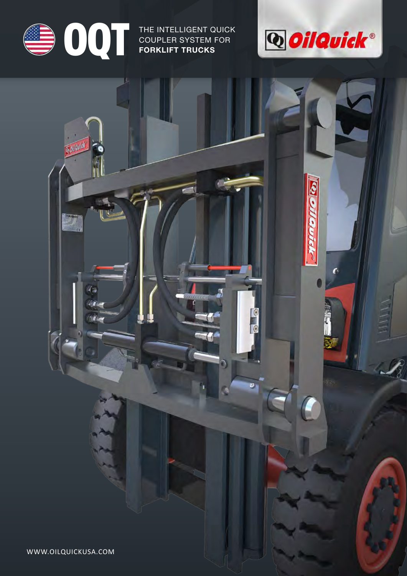

Œц

40

 $M =$ 

**OQUEL THE INTELLIGENT QUICK<br>
COUPLER SYSTEM FOR<br>
FORKLIFT TRUCKS** COUPLER SYSTEM FOR **FORKLIFT TRUCKS**



(- יוזר

IC

10

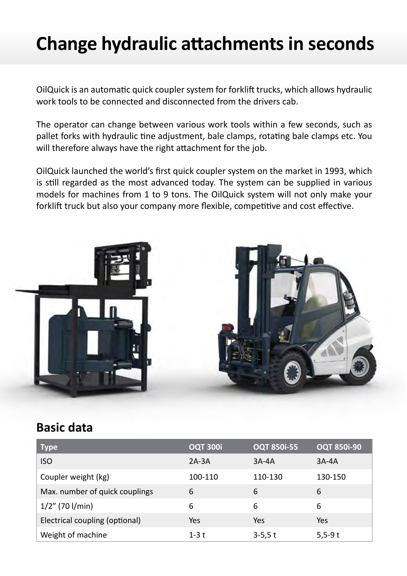### **Change hydraulic attachments in seconds**

OilQuick is an automatic quick coupler system for forklift trucks, which allows hydraulic work tools to be connected and disconnected from the drivers cab.

The operator can change between various work tools within a few seconds, such as pallet forks with hydraulic tine adjustment, bale clamps, rotating bale clamps etc. You will therefore always have the right attachment for the job.

OilQuick launched the world's first quick coupler system on the market in 1993, which is still regarded as the most advanced today. The system can be supplied in various models for machines from 1 to 9 tons. The OilQuick system will not only make your forklift truck but also your company more flexible, competitive and cost effective.



### **Basic data**

| <b>Type</b>                    | <b>OQT 300i</b> | <b>OQT 850i-55</b> | <b>OQT 850i-90</b> |
|--------------------------------|-----------------|--------------------|--------------------|
| <b>ISO</b>                     | $2A-3A$         | $3A-4A$            | $3A-4A$            |
| Coupler weight (kg)            | 100-110         | 110-130            | 130-150            |
| Max. number of quick couplings | 6               | 6                  | 6                  |
| $1/2$ " (70 l/min)             | 6               | 6                  | 6                  |
| Electrical coupling (optional) | Yes             | Yes                | Yes                |
| Weight of machine              | $1-3$ t         | $3-5,5t$           | $5,5-9t$           |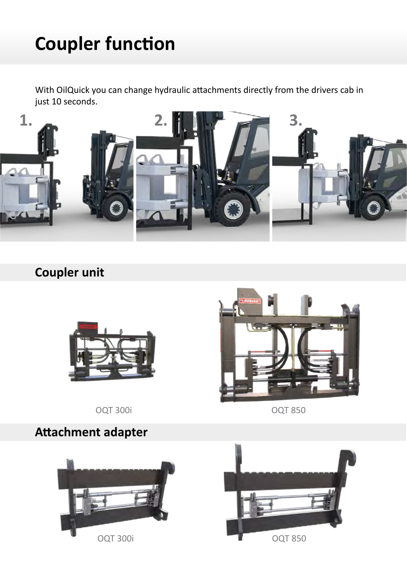# **Coupler function**

With OilQuick you can change hydraulic attachments directly from the drivers cab in just 10 seconds.



### **Coupler unit**



OQT 300i OQT 850

**Attachment adapter**